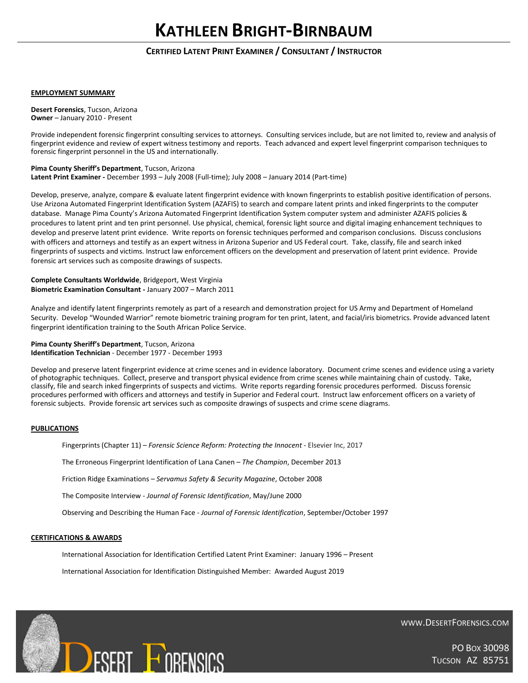### **EMPLOYMENT SUMMARY**

**Desert Forensics**, Tucson, Arizona **Owner** – January 2010 - Present

Provide independent forensic fingerprint consulting services to attorneys. Consulting services include, but are not limited to, review and analysis of fingerprint evidence and review of expert witness testimony and reports. Teach advanced and expert level fingerprint comparison techniques to forensic fingerprint personnel in the US and internationally.

## **Pima County Sheriff's Department**, Tucson, Arizona

**Latent Print Examiner -** December 1993 – July 2008 (Full-time); July 2008 – January 2014 (Part-time)

Develop, preserve, analyze, compare & evaluate latent fingerprint evidence with known fingerprints to establish positive identification of persons. Use Arizona Automated Fingerprint Identification System (AZAFIS) to search and compare latent prints and inked fingerprints to the computer database. Manage Pima County's Arizona Automated Fingerprint Identification System computer system and administer AZAFIS policies & procedures to latent print and ten print personnel. Use physical, chemical, forensic light source and digital imaging enhancement techniques to develop and preserve latent print evidence. Write reports on forensic techniques performed and comparison conclusions. Discuss conclusions with officers and attorneys and testify as an expert witness in Arizona Superior and US Federal court. Take, classify, file and search inked fingerprints of suspects and victims. Instruct law enforcement officers on the development and preservation of latent print evidence. Provide forensic art services such as composite drawings of suspects.

**Complete Consultants Worldwide**, Bridgeport, West Virginia **Biometric Examination Consultant -** January 2007 – March 2011

Analyze and identify latent fingerprints remotely as part of a research and demonstration project for US Army and Department of Homeland Security. Develop "Wounded Warrior" remote biometric training program for ten print, latent, and facial/iris biometrics. Provide advanced latent fingerprint identification training to the South African Police Service.

**Pima County Sheriff's Department**, Tucson, Arizona **Identification Technician** - December 1977 - December 1993

Develop and preserve latent fingerprint evidence at crime scenes and in evidence laboratory. Document crime scenes and evidence using a variety of photographic techniques. Collect, preserve and transport physical evidence from crime scenes while maintaining chain of custody. Take, classify, file and search inked fingerprints of suspects and victims. Write reports regarding forensic procedures performed. Discuss forensic procedures performed with officers and attorneys and testify in Superior and Federal court. Instruct law enforcement officers on a variety of forensic subjects. Provide forensic art services such as composite drawings of suspects and crime scene diagrams.

### **PUBLICATIONS**

Fingerprints (Chapter 11) – *Forensic Science Reform: Protecting the Innocent* - Elsevier Inc, 2017

The Erroneous Fingerprint Identification of Lana Canen – *The Champion*, December 2013

Friction Ridge Examinations – *Servamus Safety & Security Magazine*, October 2008

The Composite Interview - *Journal of Forensic Identification*, May/June 2000

Observing and Describing the Human Face - *Journal of Forensic Identification*, September/October 1997

### **CERTIFICATIONS & AWARDS**

International Association for Identification Certified Latent Print Examiner: January 1996 – Present

International Association for Identification Distinguished Member: Awarded August 2019



WWW.DESERTFORENSICS.COM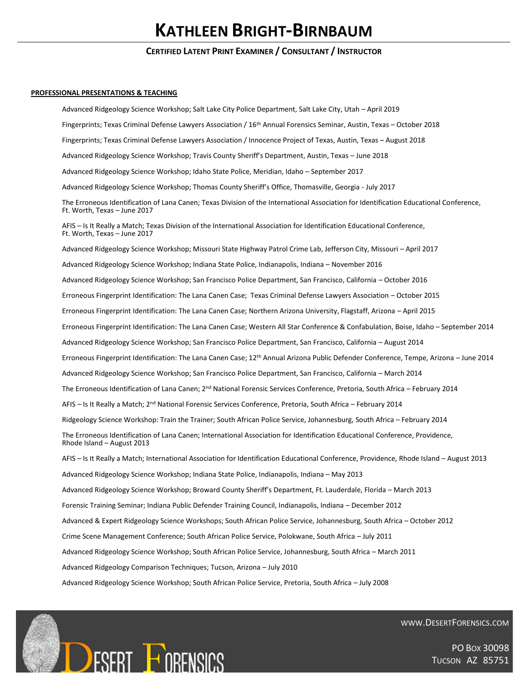# **KATHLEEN BRIGHT-BIRNBAUM**

## **CERTIFIED LATENT PRINT EXAMINER / CONSULTANT / INSTRUCTOR**

#### **PROFESSIONAL PRESENTATIONS & TEACHING**

Advanced Ridgeology Science Workshop; Salt Lake City Police Department, Salt Lake City, Utah – April 2019 Fingerprints; Texas Criminal Defense Lawyers Association / 16th Annual Forensics Seminar, Austin, Texas – October 2018 Fingerprints; Texas Criminal Defense Lawyers Association / Innocence Project of Texas, Austin, Texas – August 2018 Advanced Ridgeology Science Workshop; Travis County Sheriff's Department, Austin, Texas – June 2018 Advanced Ridgeology Science Workshop; Idaho State Police, Meridian, Idaho – September 2017 Advanced Ridgeology Science Workshop; Thomas County Sheriff's Office, Thomasville, Georgia - July 2017 The Erroneous Identification of Lana Canen; Texas Division of the International Association for Identification Educational Conference, Ft. Worth, Texas – June 2017 AFIS – Is It Really a Match; Texas Division of the International Association for Identification Educational Conference, Ft. Worth, Texas – June 2017 Advanced Ridgeology Science Workshop; Missouri State Highway Patrol Crime Lab, Jefferson City, Missouri – April 2017 Advanced Ridgeology Science Workshop; Indiana State Police, Indianapolis, Indiana – November 2016 Advanced Ridgeology Science Workshop; San Francisco Police Department, San Francisco, California – October 2016 Erroneous Fingerprint Identification: The Lana Canen Case; Texas Criminal Defense Lawyers Association – October 2015 Erroneous Fingerprint Identification: The Lana Canen Case; Northern Arizona University, Flagstaff, Arizona – April 2015 Erroneous Fingerprint Identification: The Lana Canen Case; Western All Star Conference & Confabulation, Boise, Idaho – September 2014 Advanced Ridgeology Science Workshop; San Francisco Police Department, San Francisco, California – August 2014 Erroneous Fingerprint Identification: The Lana Canen Case; 12th Annual Arizona Public Defender Conference, Tempe, Arizona – June 2014 Advanced Ridgeology Science Workshop; San Francisco Police Department, San Francisco, California – March 2014 The Erroneous Identification of Lana Canen; 2<sup>nd</sup> National Forensic Services Conference, Pretoria, South Africa - February 2014 AFIS – Is It Really a Match; 2nd National Forensic Services Conference, Pretoria, South Africa – February 2014 Ridgeology Science Workshop: Train the Trainer; South African Police Service, Johannesburg, South Africa – February 2014 The Erroneous Identification of Lana Canen; International Association for Identification Educational Conference, Providence, Rhode Island – August 2013 AFIS – Is It Really a Match; International Association for Identification Educational Conference, Providence, Rhode Island – August 2013 Advanced Ridgeology Science Workshop; Indiana State Police, Indianapolis, Indiana – May 2013 Advanced Ridgeology Science Workshop; Broward County Sheriff's Department, Ft. Lauderdale, Florida – March 2013 Forensic Training Seminar; Indiana Public Defender Training Council, Indianapolis, Indiana – December 2012 Advanced & Expert Ridgeology Science Workshops; South African Police Service, Johannesburg, South Africa – October 2012 Crime Scene Management Conference; South African Police Service, Polokwane, South Africa – July 2011 Advanced Ridgeology Science Workshop; South African Police Service, Johannesburg, South Africa – March 2011 Advanced Ridgeology Comparison Techniques; Tucson, Arizona – July 2010 Advanced Ridgeology Science Workshop; South African Police Service, Pretoria, South Africa – July 2008



WWW.DESERTFORENSICS.COM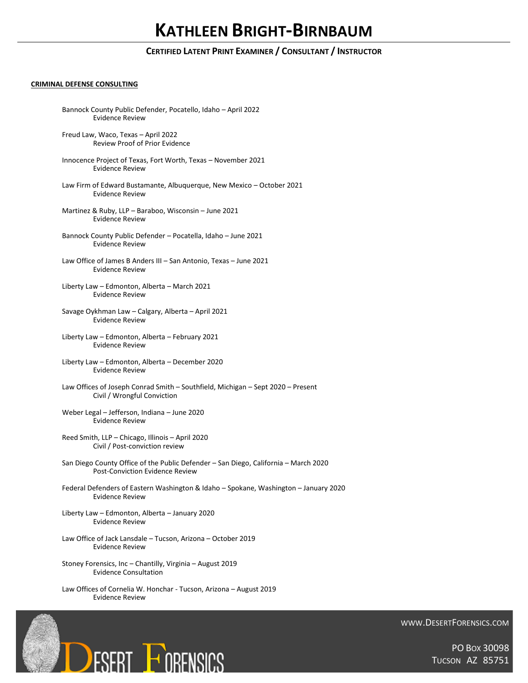## **CRIMINAL DEFENSE CONSULTING**

| Bannock County Public Defender, Pocatello, Idaho - April 2022<br><b>Evidence Review</b>                                |
|------------------------------------------------------------------------------------------------------------------------|
| Freud Law, Waco, Texas - April 2022<br><b>Review Proof of Prior Evidence</b>                                           |
| Innocence Project of Texas, Fort Worth, Texas - November 2021<br><b>Evidence Review</b>                                |
| Law Firm of Edward Bustamante, Albuquerque, New Mexico - October 2021<br><b>Evidence Review</b>                        |
| Martinez & Ruby, LLP - Baraboo, Wisconsin - June 2021<br><b>Evidence Review</b>                                        |
| Bannock County Public Defender - Pocatella, Idaho - June 2021<br><b>Evidence Review</b>                                |
| Law Office of James B Anders III - San Antonio, Texas - June 2021<br><b>Evidence Review</b>                            |
| Liberty Law - Edmonton, Alberta - March 2021<br><b>Evidence Review</b>                                                 |
| Savage Oykhman Law - Calgary, Alberta - April 2021<br><b>Evidence Review</b>                                           |
| Liberty Law - Edmonton, Alberta - February 2021<br><b>Evidence Review</b>                                              |
| Liberty Law - Edmonton, Alberta - December 2020<br><b>Evidence Review</b>                                              |
| Law Offices of Joseph Conrad Smith - Southfield, Michigan - Sept 2020 - Present<br>Civil / Wrongful Conviction         |
| Weber Legal - Jefferson, Indiana - June 2020<br><b>Evidence Review</b>                                                 |
| Reed Smith, LLP - Chicago, Illinois - April 2020<br>Civil / Post-conviction review                                     |
| San Diego County Office of the Public Defender - San Diego, California - March 2020<br>Post-Conviction Evidence Review |
| Federal Defenders of Eastern Washington & Idaho - Spokane, Washington - January 2020<br>Evidence Review                |
| Liberty Law - Edmonton, Alberta - January 2020<br><b>Evidence Review</b>                                               |
| Law Office of Jack Lansdale - Tucson, Arizona - October 2019<br><b>Evidence Review</b>                                 |
| Stoney Forensics, Inc - Chantilly, Virginia - August 2019<br><b>Evidence Consultation</b>                              |

Law Offices of Cornelia W. Honchar - Tucson, Arizona – August 2019 Evidence Review



WWW.DESERTFORENSICS.COM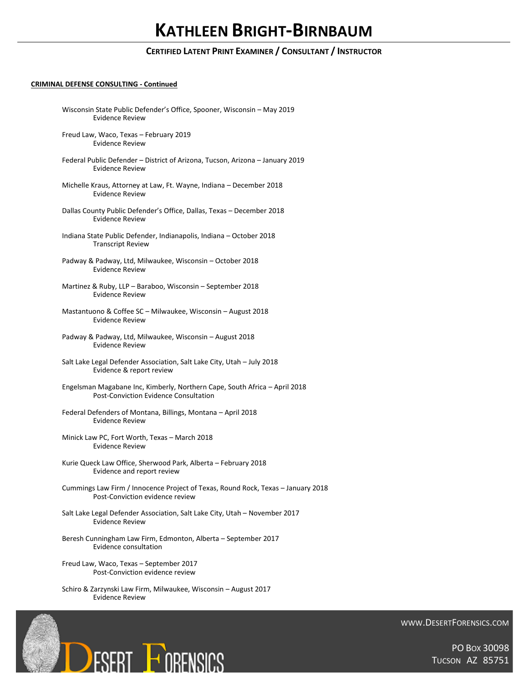## **CRIMINAL DEFENSE CONSULTING - Continued**

| Wisconsin State Public Defender's Office, Spooner, Wisconsin - May 2019<br><b>Evidence Review</b>                          |
|----------------------------------------------------------------------------------------------------------------------------|
| Freud Law, Waco, Texas - February 2019<br><b>Evidence Review</b>                                                           |
| Federal Public Defender - District of Arizona, Tucson, Arizona - January 2019<br><b>Evidence Review</b>                    |
| Michelle Kraus, Attorney at Law, Ft. Wayne, Indiana - December 2018<br><b>Evidence Review</b>                              |
| Dallas County Public Defender's Office, Dallas, Texas - December 2018<br><b>Evidence Review</b>                            |
| Indiana State Public Defender, Indianapolis, Indiana - October 2018<br><b>Transcript Review</b>                            |
| Padway & Padway, Ltd, Milwaukee, Wisconsin - October 2018<br><b>Evidence Review</b>                                        |
| Martinez & Ruby, LLP - Baraboo, Wisconsin - September 2018<br><b>Evidence Review</b>                                       |
| Mastantuono & Coffee SC - Milwaukee, Wisconsin - August 2018<br><b>Evidence Review</b>                                     |
| Padway & Padway, Ltd, Milwaukee, Wisconsin - August 2018<br><b>Evidence Review</b>                                         |
| Salt Lake Legal Defender Association, Salt Lake City, Utah - July 2018<br>Evidence & report review                         |
| Engelsman Magabane Inc, Kimberly, Northern Cape, South Africa - April 2018<br><b>Post-Conviction Evidence Consultation</b> |
| Federal Defenders of Montana, Billings, Montana - April 2018<br><b>Evidence Review</b>                                     |
| Minick Law PC, Fort Worth, Texas - March 2018<br><b>Evidence Review</b>                                                    |
| Kurie Queck Law Office, Sherwood Park, Alberta - February 2018<br>Evidence and report review                               |
| Cummings Law Firm / Innocence Project of Texas, Round Rock, Texas - January 2018<br>Post-Conviction evidence review        |
| Salt Lake Legal Defender Association, Salt Lake City, Utah - November 2017<br><b>Evidence Review</b>                       |
| Beresh Cunningham Law Firm, Edmonton, Alberta - September 2017<br>Evidence consultation                                    |
| Freud Law, Waco, Texas - September 2017<br>Post-Conviction evidence review                                                 |
|                                                                                                                            |

Schiro & Zarzynski Law Firm, Milwaukee, Wisconsin – August 2017 Evidence Review



WWW.DESERTFORENSICS.COM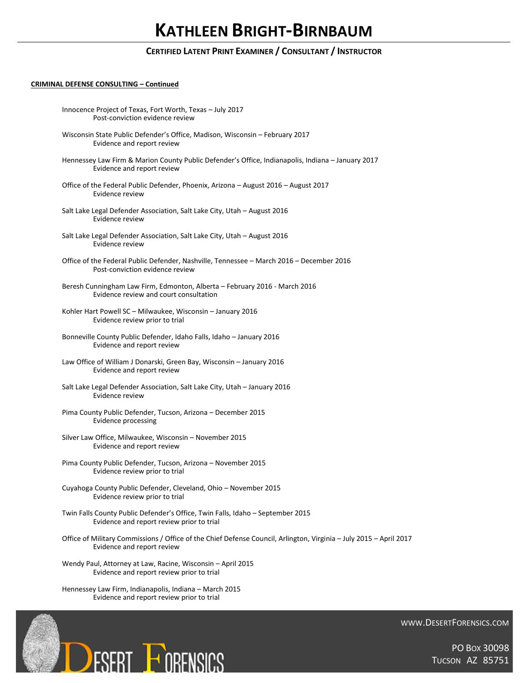## **CRIMINAL DEFENSE CONSULTING – Continued**

| Innocence Project of Texas, Fort Worth, Texas - July 2017<br>Post-conviction evidence review                                                     |
|--------------------------------------------------------------------------------------------------------------------------------------------------|
| Wisconsin State Public Defender's Office, Madison, Wisconsin - February 2017<br>Evidence and report review                                       |
| Hennessey Law Firm & Marion County Public Defender's Office, Indianapolis, Indiana - January 2017<br>Evidence and report review                  |
| Office of the Federal Public Defender, Phoenix, Arizona - August 2016 - August 2017<br>Evidence review                                           |
| Salt Lake Legal Defender Association, Salt Lake City, Utah - August 2016<br>Evidence review                                                      |
| Salt Lake Legal Defender Association, Salt Lake City, Utah - August 2016<br>Evidence review                                                      |
| Office of the Federal Public Defender, Nashville, Tennessee - March 2016 - December 2016<br>Post-conviction evidence review                      |
| Beresh Cunningham Law Firm, Edmonton, Alberta - February 2016 - March 2016<br>Evidence review and court consultation                             |
| Kohler Hart Powell SC - Milwaukee, Wisconsin - January 2016<br>Evidence review prior to trial                                                    |
| Bonneville County Public Defender, Idaho Falls, Idaho - January 2016<br>Evidence and report review                                               |
| Law Office of William J Donarski, Green Bay, Wisconsin - January 2016<br>Evidence and report review                                              |
| Salt Lake Legal Defender Association, Salt Lake City, Utah - January 2016<br>Evidence review                                                     |
| Pima County Public Defender, Tucson, Arizona - December 2015<br><b>Evidence processing</b>                                                       |
| Silver Law Office, Milwaukee, Wisconsin - November 2015<br>Evidence and report review                                                            |
| Pima County Public Defender, Tucson, Arizona - November 2015<br>Evidence review prior to trial                                                   |
| Cuyahoga County Public Defender, Cleveland, Ohio - November 2015<br>Evidence review prior to trial                                               |
| Twin Falls County Public Defender's Office, Twin Falls, Idaho - September 2015<br>Evidence and report review prior to trial                      |
| Office of Military Commissions / Office of the Chief Defense Council, Arlington, Virginia - July 2015 - April 2017<br>Evidence and report review |
| Wendy Paul, Attorney at Law, Racine, Wisconsin - April 2015                                                                                      |

Evidence and report review prior to trial

Hennessey Law Firm, Indianapolis, Indiana – March 2015 Evidence and report review prior to trial



WWW.DESERTFORENSICS.COM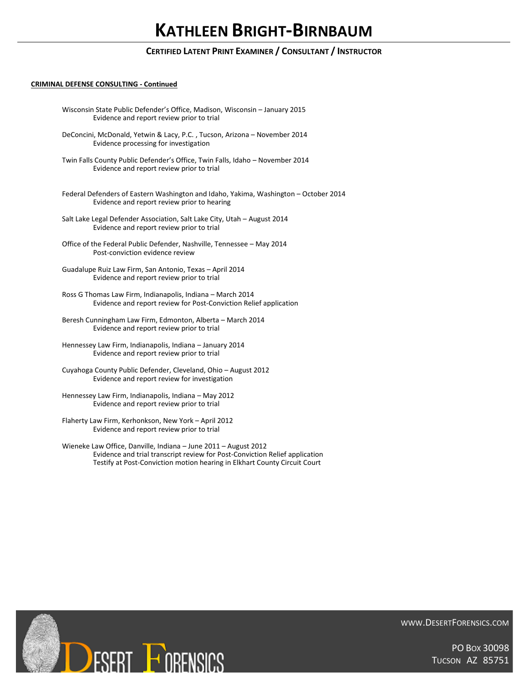## **CRIMINAL DEFENSE CONSULTING - Continued**

| Wisconsin State Public Defender's Office, Madison, Wisconsin - January 2015<br>Evidence and report review prior to trial                       |
|------------------------------------------------------------------------------------------------------------------------------------------------|
| DeConcini, McDonald, Yetwin & Lacy, P.C., Tucson, Arizona - November 2014<br>Evidence processing for investigation                             |
| Twin Falls County Public Defender's Office, Twin Falls, Idaho - November 2014<br>Evidence and report review prior to trial                     |
| Federal Defenders of Eastern Washington and Idaho, Yakima, Washington - October 2014<br>Evidence and report review prior to hearing            |
| Salt Lake Legal Defender Association, Salt Lake City, Utah - August 2014<br>Evidence and report review prior to trial                          |
| Office of the Federal Public Defender, Nashville, Tennessee - May 2014<br>Post-conviction evidence review                                      |
| Guadalupe Ruiz Law Firm, San Antonio, Texas - April 2014<br>Evidence and report review prior to trial                                          |
| Ross G Thomas Law Firm, Indianapolis, Indiana - March 2014<br>Evidence and report review for Post-Conviction Relief application                |
| Beresh Cunningham Law Firm, Edmonton, Alberta - March 2014<br>Evidence and report review prior to trial                                        |
| Hennessey Law Firm, Indianapolis, Indiana - January 2014<br>Evidence and report review prior to trial                                          |
| Cuyahoga County Public Defender, Cleveland, Ohio - August 2012<br>Evidence and report review for investigation                                 |
| Hennessey Law Firm, Indianapolis, Indiana - May 2012<br>Evidence and report review prior to trial                                              |
| Flaherty Law Firm, Kerhonkson, New York - April 2012<br>Evidence and report review prior to trial                                              |
| Wieneke Law Office, Danville, Indiana - June 2011 - August 2012<br>Evidence and trial transcript review for Post-Conviction Relief application |

Testify at Post-Conviction motion hearing in Elkhart County Circuit Court

**DESERT FORENSICS** 

WWW.DESERTFORENSICS.COM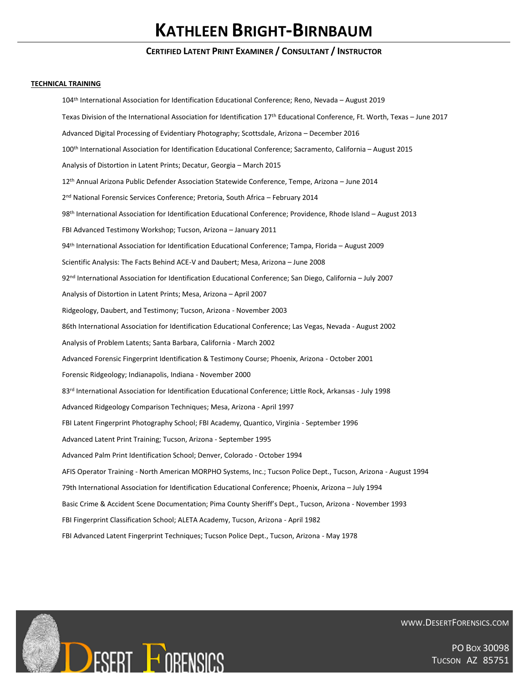### **TECHNICAL TRAINING**

104<sup>th</sup> International Association for Identification Educational Conference; Reno, Nevada - August 2019 Texas Division of the International Association for Identification 17<sup>th</sup> Educational Conference, Ft. Worth, Texas - June 2017 Advanced Digital Processing of Evidentiary Photography; Scottsdale, Arizona – December 2016 100th International Association for Identification Educational Conference; Sacramento, California – August 2015 Analysis of Distortion in Latent Prints; Decatur, Georgia – March 2015 12th Annual Arizona Public Defender Association Statewide Conference, Tempe, Arizona – June 2014 2<sup>nd</sup> National Forensic Services Conference; Pretoria, South Africa – February 2014 98 th International Association for Identification Educational Conference; Providence, Rhode Island – August 2013 FBI Advanced Testimony Workshop; Tucson, Arizona – January 2011 94th International Association for Identification Educational Conference; Tampa, Florida – August 2009 Scientific Analysis: The Facts Behind ACE-V and Daubert; Mesa, Arizona – June 2008 92nd International Association for Identification Educational Conference; San Diego, California – July 2007 Analysis of Distortion in Latent Prints; Mesa, Arizona – April 2007 Ridgeology, Daubert, and Testimony; Tucson, Arizona - November 2003 86th International Association for Identification Educational Conference; Las Vegas, Nevada - August 2002 Analysis of Problem Latents; Santa Barbara, California - March 2002 Advanced Forensic Fingerprint Identification & Testimony Course; Phoenix, Arizona - October 2001 Forensic Ridgeology; Indianapolis, Indiana - November 2000 83rd International Association for Identification Educational Conference; Little Rock, Arkansas - July 1998 Advanced Ridgeology Comparison Techniques; Mesa, Arizona - April 1997 FBI Latent Fingerprint Photography School; FBI Academy, Quantico, Virginia - September 1996 Advanced Latent Print Training; Tucson, Arizona - September 1995 Advanced Palm Print Identification School; Denver, Colorado - October 1994 AFIS Operator Training - North American MORPHO Systems, Inc.; Tucson Police Dept., Tucson, Arizona - August 1994 79th International Association for Identification Educational Conference; Phoenix, Arizona – July 1994 Basic Crime & Accident Scene Documentation; Pima County Sheriff's Dept., Tucson, Arizona - November 1993 FBI Fingerprint Classification School; ALETA Academy, Tucson, Arizona - April 1982 FBI Advanced Latent Fingerprint Techniques; Tucson Police Dept., Tucson, Arizona - May 1978



WWW.DESERTFORENSICS.COM